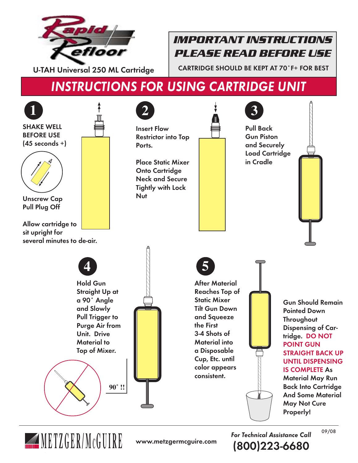

# *IMPORTANT INSTRUCTIONS PLEASE READ BEFORE USE*

CARTRIDGE SHOULD BE KEPT AT 70˚F+ FOR BEST

(800)223-6680

# INSTRUCTIONS FOR USING CARTRIDGE UNIT



**METIGER/MCGUIRE** www.metzgermcguire.com **For Technical Assistance Call**